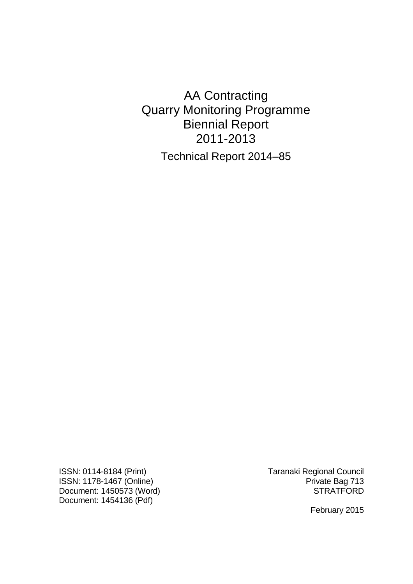AA Contracting Quarry Monitoring Programme Biennial Report 2011-2013 Technical Report 2014–85

ISSN: 0114-8184 (Print) Taranaki Regional Council ISSN: 1178-1467 (Online)<br>
Document: 1450573 (Word)<br>
Private Bag 713<br>
STRATFORD Document:  $1450573$  (Word) Document: 1454136 (Pdf)

February 2015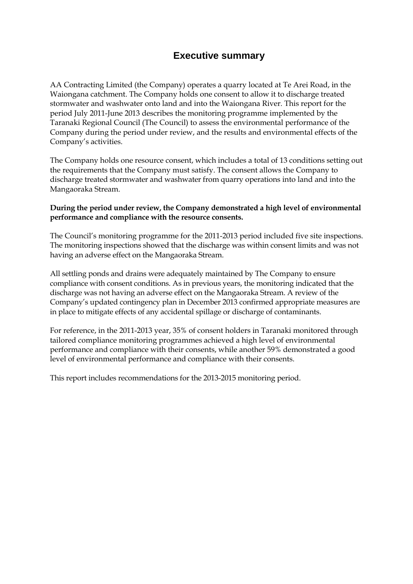# **Executive summary**

AA Contracting Limited (the Company) operates a quarry located at Te Arei Road, in the Waiongana catchment. The Company holds one consent to allow it to discharge treated stormwater and washwater onto land and into the Waiongana River*.* This report for the period July 2011-June 2013 describes the monitoring programme implemented by the Taranaki Regional Council (The Council) to assess the environmental performance of the Company during the period under review, and the results and environmental effects of the Company's activities.

The Company holds one resource consent, which includes a total of 13 conditions setting out the requirements that the Company must satisfy. The consent allows the Company to discharge treated stormwater and washwater from quarry operations into land and into the Mangaoraka Stream.

#### **During the period under review, the Company demonstrated a high level of environmental performance and compliance with the resource consents.**

The Council's monitoring programme for the 2011-2013 period included five site inspections. The monitoring inspections showed that the discharge was within consent limits and was not having an adverse effect on the Mangaoraka Stream.

All settling ponds and drains were adequately maintained by The Company to ensure compliance with consent conditions. As in previous years, the monitoring indicated that the discharge was not having an adverse effect on the Mangaoraka Stream. A review of the Company's updated contingency plan in December 2013 confirmed appropriate measures are in place to mitigate effects of any accidental spillage or discharge of contaminants.

For reference, in the 2011-2013 year, 35% of consent holders in Taranaki monitored through tailored compliance monitoring programmes achieved a high level of environmental performance and compliance with their consents, while another 59% demonstrated a good level of environmental performance and compliance with their consents.

This report includes recommendations for the 2013-2015 monitoring period.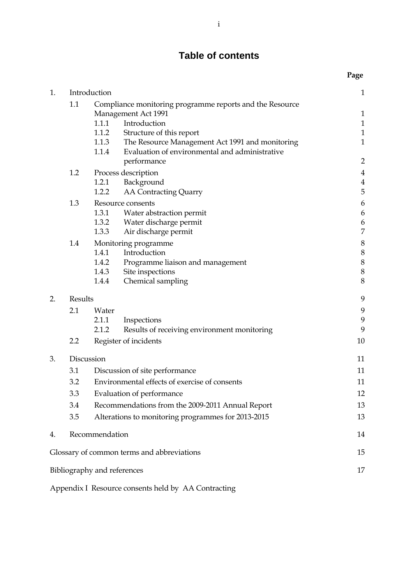# **Table of contents**

|    |                                                                                        |                                                  |                                                                                                   | Page                             |
|----|----------------------------------------------------------------------------------------|--------------------------------------------------|---------------------------------------------------------------------------------------------------|----------------------------------|
| 1. |                                                                                        | Introduction                                     |                                                                                                   | $\mathbf{1}$                     |
|    | 1.1<br>Compliance monitoring programme reports and the Resource<br>Management Act 1991 |                                                  |                                                                                                   | $\mathbf{1}$                     |
|    |                                                                                        | 1.1.1                                            | Introduction                                                                                      | $\mathbf{1}$                     |
|    |                                                                                        | 1.1.2                                            | Structure of this report                                                                          | $\mathbf{1}$                     |
|    |                                                                                        | 1.1.3<br>1.1.4                                   | The Resource Management Act 1991 and monitoring<br>Evaluation of environmental and administrative | $\mathbf{1}$                     |
|    | 1.2                                                                                    |                                                  | performance                                                                                       | $\overline{2}$                   |
|    |                                                                                        | 1.2.1                                            | Process description<br>Background                                                                 | $\overline{4}$<br>$\overline{4}$ |
|    |                                                                                        | 1.2.2                                            | <b>AA Contracting Quarry</b>                                                                      | 5                                |
|    | 1.3                                                                                    |                                                  | Resource consents                                                                                 | $\boldsymbol{6}$                 |
|    |                                                                                        | 1.3.1                                            | Water abstraction permit                                                                          | 6                                |
|    |                                                                                        | 1.3.2                                            | Water discharge permit                                                                            | 6                                |
|    |                                                                                        | 1.3.3                                            | Air discharge permit                                                                              | 7                                |
|    | 1.4                                                                                    |                                                  | Monitoring programme                                                                              | 8                                |
|    |                                                                                        |                                                  | 1.4.1 Introduction                                                                                | $\,8\,$                          |
|    |                                                                                        | 1.4.2<br>1.4.3                                   | Programme liaison and management                                                                  | $\,8\,$<br>$\,8\,$               |
|    |                                                                                        | 1.4.4                                            | Site inspections<br>Chemical sampling                                                             | 8                                |
|    |                                                                                        |                                                  |                                                                                                   |                                  |
| 2. | Results                                                                                |                                                  |                                                                                                   | 9                                |
|    | 2.1                                                                                    | Water                                            |                                                                                                   | 9                                |
|    |                                                                                        | 2.1.1<br>2.1.2                                   | Inspections<br>Results of receiving environment monitoring                                        | 9<br>9                           |
|    | 2.2                                                                                    |                                                  | Register of incidents                                                                             | 10                               |
| 3. | Discussion                                                                             |                                                  |                                                                                                   |                                  |
|    | 3.1                                                                                    |                                                  |                                                                                                   | 11<br>11                         |
|    |                                                                                        |                                                  | Discussion of site performance                                                                    |                                  |
|    | 3.2                                                                                    | Environmental effects of exercise of consents    |                                                                                                   | 11                               |
|    | 3.3                                                                                    | Evaluation of performance                        |                                                                                                   | 12                               |
|    | 3.4                                                                                    | Recommendations from the 2009-2011 Annual Report |                                                                                                   | 13                               |
|    | 3.5                                                                                    |                                                  | Alterations to monitoring programmes for 2013-2015                                                | 13                               |
| 4. |                                                                                        | Recommendation                                   |                                                                                                   | 14                               |
|    |                                                                                        |                                                  | Glossary of common terms and abbreviations                                                        | 15                               |
|    |                                                                                        | Bibliography and references                      |                                                                                                   | 17                               |

Appendix I Resource consents held by AA Contracting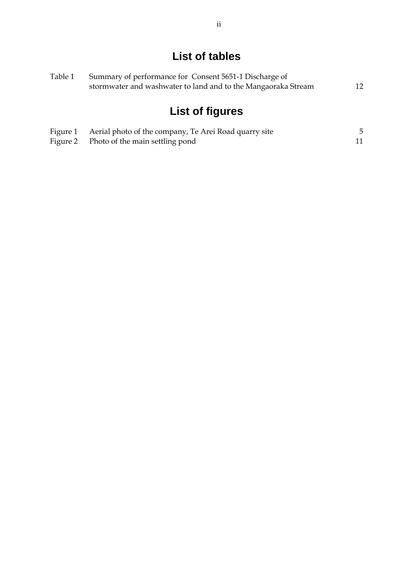# **List of tables**

| Table 1 | Summary of performance for Consent 5651-1 Discharge of        |    |  |
|---------|---------------------------------------------------------------|----|--|
|         | stormwater and washwater to land and to the Mangaoraka Stream | 12 |  |
|         |                                                               |    |  |
|         |                                                               |    |  |

# **List of figures**

| Figure 1 Aerial photo of the company, Te Arei Road quarry site |  |
|----------------------------------------------------------------|--|
| Figure 2 Photo of the main settling pond                       |  |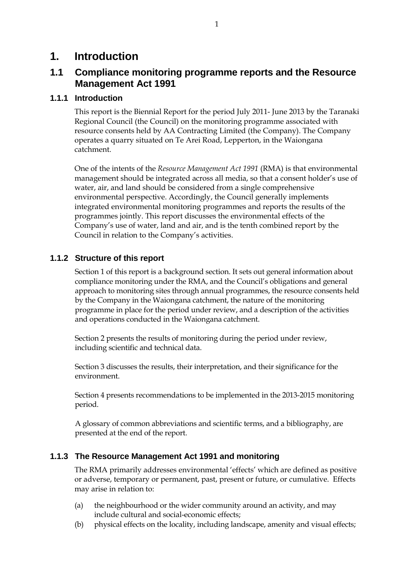# **1. Introduction**

# **1.1 Compliance monitoring programme reports and the Resource Management Act 1991**

### **1.1.1 Introduction**

This report is the Biennial Report for the period July 2011- June 2013 by the Taranaki Regional Council (the Council) on the monitoring programme associated with resource consents held by AA Contracting Limited (the Company). The Company operates a quarry situated on Te Arei Road, Lepperton, in the Waiongana catchment.

One of the intents of the *Resource Management Act 1991* (RMA) is that environmental management should be integrated across all media, so that a consent holder's use of water, air, and land should be considered from a single comprehensive environmental perspective. Accordingly, the Council generally implements integrated environmental monitoring programmes and reports the results of the programmes jointly. This report discusses the environmental effects of the Company's use of water, land and air, and is the tenth combined report by the Council in relation to the Company's activities.

### **1.1.2 Structure of this report**

Section 1 of this report is a background section. It sets out general information about compliance monitoring under the RMA, and the Council's obligations and general approach to monitoring sites through annual programmes, the resource consents held by the Company in the Waiongana catchment, the nature of the monitoring programme in place for the period under review, and a description of the activities and operations conducted in the Waiongana catchment.

Section 2 presents the results of monitoring during the period under review, including scientific and technical data.

Section 3 discusses the results, their interpretation, and their significance for the environment.

Section 4 presents recommendations to be implemented in the 2013-2015 monitoring period.

A glossary of common abbreviations and scientific terms, and a bibliography, are presented at the end of the report.

### **1.1.3 The Resource Management Act 1991 and monitoring**

The RMA primarily addresses environmental 'effects' which are defined as positive or adverse, temporary or permanent, past, present or future, or cumulative. Effects may arise in relation to:

- (a) the neighbourhood or the wider community around an activity, and may include cultural and social-economic effects;
- (b) physical effects on the locality, including landscape, amenity and visual effects;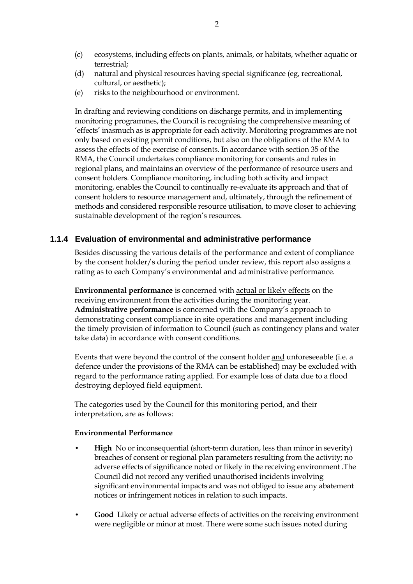- (c) ecosystems, including effects on plants, animals, or habitats, whether aquatic or terrestrial;
- (d) natural and physical resources having special significance (eg, recreational, cultural, or aesthetic);
- (e) risks to the neighbourhood or environment.

In drafting and reviewing conditions on discharge permits, and in implementing monitoring programmes, the Council is recognising the comprehensive meaning of 'effects' inasmuch as is appropriate for each activity. Monitoring programmes are not only based on existing permit conditions, but also on the obligations of the RMA to assess the effects of the exercise of consents. In accordance with section 35 of the RMA, the Council undertakes compliance monitoring for consents and rules in regional plans, and maintains an overview of the performance of resource users and consent holders. Compliance monitoring, including both activity and impact monitoring, enables the Council to continually re-evaluate its approach and that of consent holders to resource management and, ultimately, through the refinement of methods and considered responsible resource utilisation, to move closer to achieving sustainable development of the region's resources.

#### **1.1.4 Evaluation of environmental and administrative performance**

Besides discussing the various details of the performance and extent of compliance by the consent holder/s during the period under review, this report also assigns a rating as to each Company's environmental and administrative performance.

**Environmental performance** is concerned with actual or likely effects on the receiving environment from the activities during the monitoring year. **Administrative performance** is concerned with the Company's approach to demonstrating consent compliance in site operations and management including the timely provision of information to Council (such as contingency plans and water take data) in accordance with consent conditions.

Events that were beyond the control of the consent holder and unforeseeable (i.e. a defence under the provisions of the RMA can be established) may be excluded with regard to the performance rating applied. For example loss of data due to a flood destroying deployed field equipment.

The categories used by the Council for this monitoring period, and their interpretation, are as follows:

#### **Environmental Performance**

- **High** No or inconsequential (short-term duration, less than minor in severity) breaches of consent or regional plan parameters resulting from the activity; no adverse effects of significance noted or likely in the receiving environment .The Council did not record any verified unauthorised incidents involving significant environmental impacts and was not obliged to issue any abatement notices or infringement notices in relation to such impacts.
- **Good** Likely or actual adverse effects of activities on the receiving environment were negligible or minor at most. There were some such issues noted during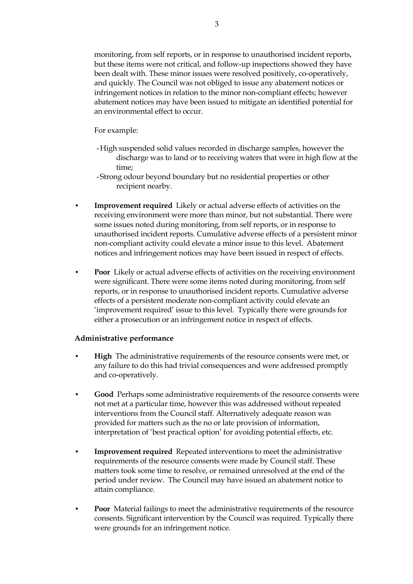monitoring, from self reports, or in response to unauthorised incident reports, but these items were not critical, and follow-up inspections showed they have been dealt with. These minor issues were resolved positively, co-operatively, and quickly. The Council was not obliged to issue any abatement notices or infringement notices in relation to the minor non-compliant effects; however abatement notices may have been issued to mitigate an identified potential for an environmental effect to occur.

For example:

- -High suspended solid values recorded in discharge samples, however the discharge was to land or to receiving waters that were in high flow at the time;
- -Strong odour beyond boundary but no residential properties or other recipient nearby.
- **Improvement required** Likely or actual adverse effects of activities on the receiving environment were more than minor, but not substantial. There were some issues noted during monitoring, from self reports, or in response to unauthorised incident reports. Cumulative adverse effects of a persistent minor non-compliant activity could elevate a minor issue to this level. Abatement notices and infringement notices may have been issued in respect of effects.
- **Poor** Likely or actual adverse effects of activities on the receiving environment were significant. There were some items noted during monitoring, from self reports, or in response to unauthorised incident reports. Cumulative adverse effects of a persistent moderate non-compliant activity could elevate an 'improvement required' issue to this level. Typically there were grounds for either a prosecution or an infringement notice in respect of effects.

#### **Administrative performance**

- **High** The administrative requirements of the resource consents were met, or any failure to do this had trivial consequences and were addressed promptly and co-operatively.
- **Good** Perhaps some administrative requirements of the resource consents were not met at a particular time, however this was addressed without repeated interventions from the Council staff. Alternatively adequate reason was provided for matters such as the no or late provision of information, interpretation of 'best practical option' for avoiding potential effects, etc.
- **Improvement required** Repeated interventions to meet the administrative requirements of the resource consents were made by Council staff. These matters took some time to resolve, or remained unresolved at the end of the period under review. The Council may have issued an abatement notice to attain compliance.
- **Poor** Material failings to meet the administrative requirements of the resource consents. Significant intervention by the Council was required. Typically there were grounds for an infringement notice.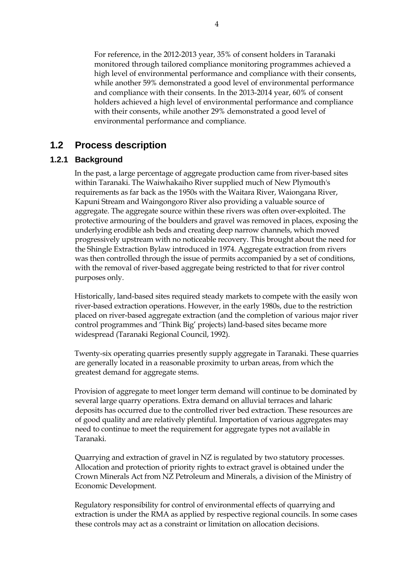For reference, in the 2012-2013 year, 35% of consent holders in Taranaki monitored through tailored compliance monitoring programmes achieved a high level of environmental performance and compliance with their consents, while another 59% demonstrated a good level of environmental performance and compliance with their consents. In the 2013-2014 year, 60% of consent holders achieved a high level of environmental performance and compliance with their consents, while another 29% demonstrated a good level of environmental performance and compliance.

## **1.2 Process description**

### **1.2.1 Background**

 In the past, a large percentage of aggregate production came from river-based sites within Taranaki. The Waiwhakaiho River supplied much of New Plymouth's requirements as far back as the 1950s with the Waitara River, Waiongana River, Kapuni Stream and Waingongoro River also providing a valuable source of aggregate. The aggregate source within these rivers was often over-exploited. The protective armouring of the boulders and gravel was removed in places, exposing the underlying erodible ash beds and creating deep narrow channels, which moved progressively upstream with no noticeable recovery. This brought about the need for the Shingle Extraction Bylaw introduced in 1974. Aggregate extraction from rivers was then controlled through the issue of permits accompanied by a set of conditions, with the removal of river-based aggregate being restricted to that for river control purposes only.

 Historically, land-based sites required steady markets to compete with the easily won river-based extraction operations. However, in the early 1980s, due to the restriction placed on river-based aggregate extraction (and the completion of various major river control programmes and 'Think Big' projects) land-based sites became more widespread (Taranaki Regional Council, 1992).

 Twenty-six operating quarries presently supply aggregate in Taranaki. These quarries are generally located in a reasonable proximity to urban areas, from which the greatest demand for aggregate stems.

 Provision of aggregate to meet longer term demand will continue to be dominated by several large quarry operations. Extra demand on alluvial terraces and laharic deposits has occurred due to the controlled river bed extraction. These resources are of good quality and are relatively plentiful. Importation of various aggregates may need to continue to meet the requirement for aggregate types not available in Taranaki.

 Quarrying and extraction of gravel in NZ is regulated by two statutory processes. Allocation and protection of priority rights to extract gravel is obtained under the Crown Minerals Act from NZ Petroleum and Minerals, a division of the Ministry of Economic Development.

Regulatory responsibility for control of environmental effects of quarrying and extraction is under the RMA as applied by respective regional councils. In some cases these controls may act as a constraint or limitation on allocation decisions.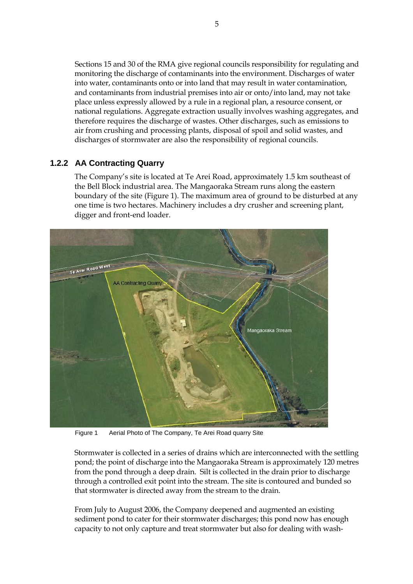Sections 15 and 30 of the RMA give regional councils responsibility for regulating and monitoring the discharge of contaminants into the environment. Discharges of water into water, contaminants onto or into land that may result in water contamination, and contaminants from industrial premises into air or onto/into land, may not take place unless expressly allowed by a rule in a regional plan, a resource consent, or national regulations. Aggregate extraction usually involves washing aggregates, and therefore requires the discharge of wastes. Other discharges, such as emissions to air from crushing and processing plants, disposal of spoil and solid wastes, and discharges of stormwater are also the responsibility of regional councils.

### **1.2.2 AA Contracting Quarry**

The Company's site is located at Te Arei Road, approximately 1.5 km southeast of the Bell Block industrial area. The Mangaoraka Stream runs along the eastern boundary of the site (Figure 1). The maximum area of ground to be disturbed at any one time is two hectares. Machinery includes a dry crusher and screening plant, digger and front-end loader.



Figure 1 Aerial Photo of The Company, Te Arei Road quarry Site

Stormwater is collected in a series of drains which are interconnected with the settling pond; the point of discharge into the Mangaoraka Stream is approximately 120 metres from the pond through a deep drain. Silt is collected in the drain prior to discharge through a controlled exit point into the stream. The site is contoured and bunded so that stormwater is directed away from the stream to the drain.

From July to August 2006, the Company deepened and augmented an existing sediment pond to cater for their stormwater discharges; this pond now has enough capacity to not only capture and treat stormwater but also for dealing with wash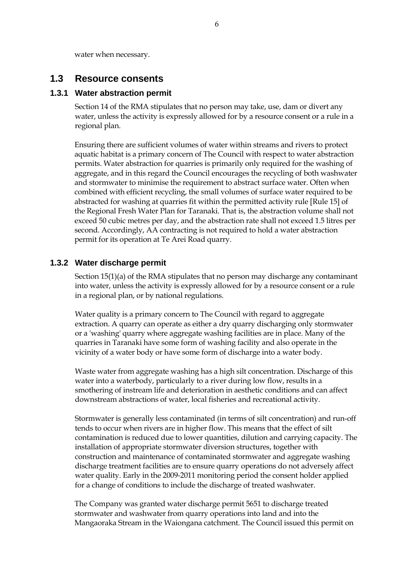water when necessary.

### **1.3 Resource consents**

#### **1.3.1 Water abstraction permit**

Section 14 of the RMA stipulates that no person may take, use, dam or divert any water, unless the activity is expressly allowed for by a resource consent or a rule in a regional plan.

Ensuring there are sufficient volumes of water within streams and rivers to protect aquatic habitat is a primary concern of The Council with respect to water abstraction permits. Water abstraction for quarries is primarily only required for the washing of aggregate, and in this regard the Council encourages the recycling of both washwater and stormwater to minimise the requirement to abstract surface water. Often when combined with efficient recycling, the small volumes of surface water required to be abstracted for washing at quarries fit within the permitted activity rule [Rule 15] of the Regional Fresh Water Plan for Taranaki. That is, the abstraction volume shall not exceed 50 cubic metres per day, and the abstraction rate shall not exceed 1.5 litres per second. Accordingly, AA contracting is not required to hold a water abstraction permit for its operation at Te Arei Road quarry.

#### **1.3.2 Water discharge permit**

Section 15(1)(a) of the RMA stipulates that no person may discharge any contaminant into water, unless the activity is expressly allowed for by a resource consent or a rule in a regional plan, or by national regulations.

 Water quality is a primary concern to The Council with regard to aggregate extraction. A quarry can operate as either a dry quarry discharging only stormwater or a 'washing' quarry where aggregate washing facilities are in place. Many of the quarries in Taranaki have some form of washing facility and also operate in the vicinity of a water body or have some form of discharge into a water body.

 Waste water from aggregate washing has a high silt concentration. Discharge of this water into a waterbody, particularly to a river during low flow, results in a smothering of instream life and deterioration in aesthetic conditions and can affect downstream abstractions of water, local fisheries and recreational activity.

Stormwater is generally less contaminated (in terms of silt concentration) and run-off tends to occur when rivers are in higher flow. This means that the effect of silt contamination is reduced due to lower quantities, dilution and carrying capacity. The installation of appropriate stormwater diversion structures, together with construction and maintenance of contaminated stormwater and aggregate washing discharge treatment facilities are to ensure quarry operations do not adversely affect water quality. Early in the 2009-2011 monitoring period the consent holder applied for a change of conditions to include the discharge of treated washwater.

The Company was granted water discharge permit 5651 to discharge treated stormwater and washwater from quarry operations into land and into the Mangaoraka Stream in the Waiongana catchment. The Council issued this permit on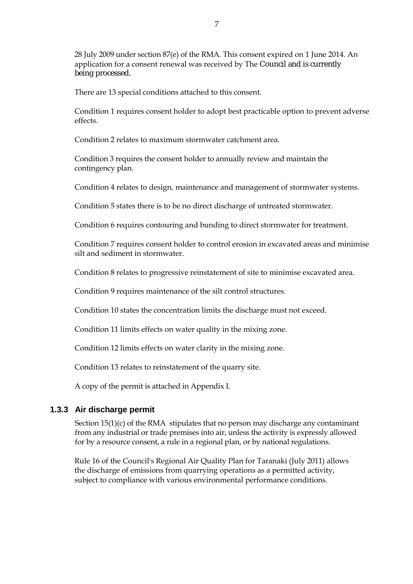28 July 2009 under section 87(e) of the RMA. This consent expired on 1 June 2014. An application for a consent renewal was received by The Council and is currently being processed.

There are 13 special conditions attached to this consent.

Condition 1 requires consent holder to adopt best practicable option to prevent adverse effects.

Condition 2 relates to maximum stormwater catchment area.

Condition 3 requires the consent holder to annually review and maintain the contingency plan.

Condition 4 relates to design, maintenance and management of stormwater systems.

Condition 5 states there is to be no direct discharge of untreated stormwater.

Condition 6 requires contouring and bunding to direct stormwater for treatment.

Condition 7 requires consent holder to control erosion in excavated areas and minimise silt and sediment in stormwater.

Condition 8 relates to progressive reinstatement of site to minimise excavated area.

Condition 9 requires maintenance of the silt control structures.

Condition 10 states the concentration limits the discharge must not exceed.

Condition 11 limits effects on water quality in the mixing zone.

Condition 12 limits effects on water clarity in the mixing zone.

Condition 13 relates to reinstatement of the quarry site.

A copy of the permit is attached in Appendix I.

### **1.3.3 Air discharge permit**

Section 15(1)(c) of the RMA stipulates that no person may discharge any contaminant from any industrial or trade premises into air, unless the activity is expressly allowed for by a resource consent, a rule in a regional plan, or by national regulations.

Rule 16 of the Council's Regional Air Quality Plan for Taranaki (July 2011) allows the discharge of emissions from quarrying operations as a permitted activity, subject to compliance with various environmental performance conditions.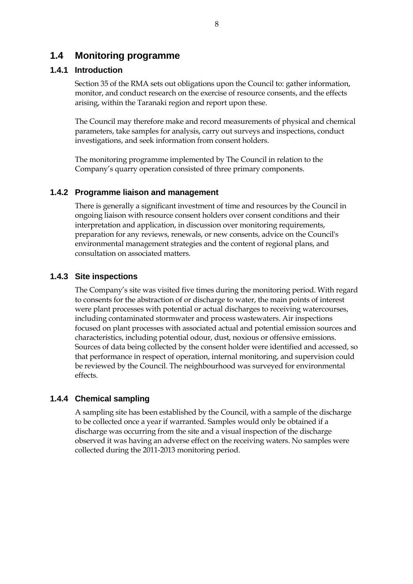### **1.4 Monitoring programme**

#### **1.4.1 Introduction**

Section 35 of the RMA sets out obligations upon the Council to: gather information, monitor, and conduct research on the exercise of resource consents, and the effects arising, within the Taranaki region and report upon these.

The Council may therefore make and record measurements of physical and chemical parameters, take samples for analysis, carry out surveys and inspections, conduct investigations, and seek information from consent holders.

The monitoring programme implemented by The Council in relation to the Company's quarry operation consisted of three primary components.

#### **1.4.2 Programme liaison and management**

There is generally a significant investment of time and resources by the Council in ongoing liaison with resource consent holders over consent conditions and their interpretation and application, in discussion over monitoring requirements, preparation for any reviews, renewals, or new consents, advice on the Council's environmental management strategies and the content of regional plans, and consultation on associated matters.

#### **1.4.3 Site inspections**

The Company's site was visited five times during the monitoring period. With regard to consents for the abstraction of or discharge to water, the main points of interest were plant processes with potential or actual discharges to receiving watercourses, including contaminated stormwater and process wastewaters. Air inspections focused on plant processes with associated actual and potential emission sources and characteristics, including potential odour, dust, noxious or offensive emissions. Sources of data being collected by the consent holder were identified and accessed, so that performance in respect of operation, internal monitoring, and supervision could be reviewed by the Council. The neighbourhood was surveyed for environmental effects.

#### **1.4.4 Chemical sampling**

A sampling site has been established by the Council, with a sample of the discharge to be collected once a year if warranted. Samples would only be obtained if a discharge was occurring from the site and a visual inspection of the discharge observed it was having an adverse effect on the receiving waters. No samples were collected during the 2011-2013 monitoring period.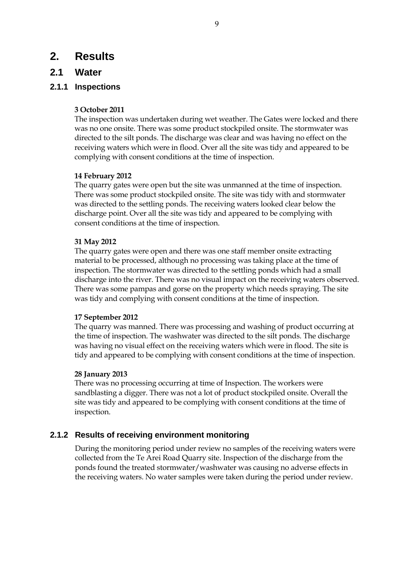# **2. Results**

## **2.1 Water**

### **2.1.1 Inspections**

#### **3 October 2011**

The inspection was undertaken during wet weather. The Gates were locked and there was no one onsite. There was some product stockpiled onsite. The stormwater was directed to the silt ponds. The discharge was clear and was having no effect on the receiving waters which were in flood. Over all the site was tidy and appeared to be complying with consent conditions at the time of inspection.

#### **14 February 2012**

The quarry gates were open but the site was unmanned at the time of inspection. There was some product stockpiled onsite. The site was tidy with and stormwater was directed to the settling ponds. The receiving waters looked clear below the discharge point. Over all the site was tidy and appeared to be complying with consent conditions at the time of inspection.

#### **31 May 2012**

The quarry gates were open and there was one staff member onsite extracting material to be processed, although no processing was taking place at the time of inspection. The stormwater was directed to the settling ponds which had a small discharge into the river. There was no visual impact on the receiving waters observed. There was some pampas and gorse on the property which needs spraying. The site was tidy and complying with consent conditions at the time of inspection.

#### **17 September 2012**

The quarry was manned. There was processing and washing of product occurring at the time of inspection. The washwater was directed to the silt ponds. The discharge was having no visual effect on the receiving waters which were in flood. The site is tidy and appeared to be complying with consent conditions at the time of inspection.

#### **28 January 2013**

There was no processing occurring at time of Inspection. The workers were sandblasting a digger. There was not a lot of product stockpiled onsite. Overall the site was tidy and appeared to be complying with consent conditions at the time of inspection.

### **2.1.2 Results of receiving environment monitoring**

During the monitoring period under review no samples of the receiving waters were collected from the Te Arei Road Quarry site. Inspection of the discharge from the ponds found the treated stormwater/washwater was causing no adverse effects in the receiving waters. No water samples were taken during the period under review.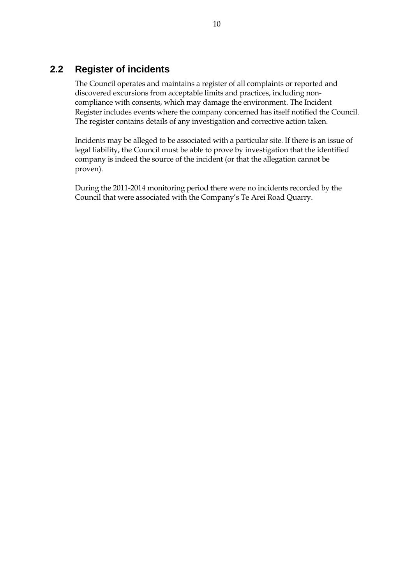# **2.2 Register of incidents**

The Council operates and maintains a register of all complaints or reported and discovered excursions from acceptable limits and practices, including noncompliance with consents, which may damage the environment. The Incident Register includes events where the company concerned has itself notified the Council. The register contains details of any investigation and corrective action taken.

Incidents may be alleged to be associated with a particular site. If there is an issue of legal liability, the Council must be able to prove by investigation that the identified company is indeed the source of the incident (or that the allegation cannot be proven).

During the 2011-2014 monitoring period there were no incidents recorded by the Council that were associated with the Company's Te Arei Road Quarry.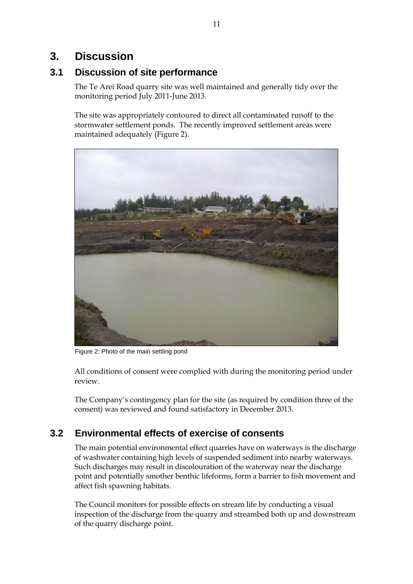# **3. Discussion**

# **3.1 Discussion of site performance**

The Te Arei Road quarry site was well maintained and generally tidy over the monitoring period July 2011-June 2013.

The site was appropriately contoured to direct all contaminated runoff to the stormwater settlement ponds. The recently improved settlement areas were maintained adequately (Figure 2).



Figure 2: Photo of the main settling pond

All conditions of consent were complied with during the monitoring period under review.

The Company's contingency plan for the site (as required by condition three of the consent) was reviewed and found satisfactory in December 2013.

# **3.2 Environmental effects of exercise of consents**

The main potential environmental effect quarries have on waterways is the discharge of washwater containing high levels of suspended sediment into nearby waterways. Such discharges may result in discolouration of the waterway near the discharge point and potentially smother benthic lifeforms, form a barrier to fish movement and affect fish spawning habitats.

The Council monitors for possible effects on stream life by conducting a visual inspection of the discharge from the quarry and streambed both up and downstream of the quarry discharge point.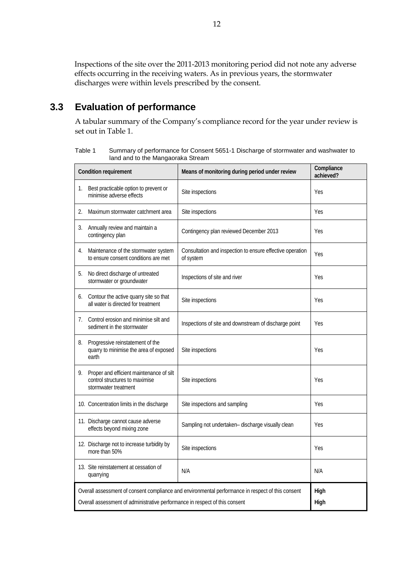Inspections of the site over the 2011-2013 monitoring period did not note any adverse effects occurring in the receiving waters. As in previous years, the stormwater discharges were within levels prescribed by the consent.

# **3.3 Evaluation of performance**

A tabular summary of the Company's compliance record for the year under review is set out in Table 1.

Table 1 Summary of performance for Consent 5651-1 Discharge of stormwater and washwater to land and to the Mangaoraka Stream

| <b>Condition requirement</b> |                                                                                                                                                                                                  | Means of monitoring during period under review                         | Compliance<br>achieved? |
|------------------------------|--------------------------------------------------------------------------------------------------------------------------------------------------------------------------------------------------|------------------------------------------------------------------------|-------------------------|
| 1.                           | Best practicable option to prevent or<br>minimise adverse effects                                                                                                                                | Site inspections                                                       | Yes                     |
| 2.                           | Maximum stormwater catchment area                                                                                                                                                                | Site inspections                                                       | Yes                     |
| 3.                           | Annually review and maintain a<br>contingency plan                                                                                                                                               | Contingency plan reviewed December 2013                                | Yes                     |
| 4.                           | Maintenance of the stormwater system<br>to ensure consent conditions are met                                                                                                                     | Consultation and inspection to ensure effective operation<br>of system | <b>Yes</b>              |
| 5.                           | No direct discharge of untreated<br>stormwater or groundwater                                                                                                                                    | Inspections of site and river                                          | Yes                     |
| 6.                           | Contour the active quarry site so that<br>all water is directed for treatment                                                                                                                    | Site inspections                                                       | Yes                     |
| 7.                           | Control erosion and minimise silt and<br>sediment in the stormwater                                                                                                                              | Inspections of site and downstream of discharge point                  | Yes                     |
| 8.                           | Progressive reinstatement of the<br>quarry to minimise the area of exposed<br>earth                                                                                                              | Site inspections                                                       | Yes                     |
| 9.                           | Proper and efficient maintenance of silt<br>control structures to maximise<br>stormwater treatment                                                                                               | Site inspections                                                       | Yes                     |
|                              | 10. Concentration limits in the discharge                                                                                                                                                        | Site inspections and sampling                                          | Yes                     |
|                              | 11. Discharge cannot cause adverse<br>effects beyond mixing zone                                                                                                                                 | Sampling not undertaken- discharge visually clean                      | Yes                     |
|                              | 12. Discharge not to increase turbidity by<br>more than 50%                                                                                                                                      | Site inspections                                                       | Yes                     |
|                              | 13. Site reinstatement at cessation of<br>quarrying                                                                                                                                              | N/A                                                                    | N/A                     |
|                              | Overall assessment of consent compliance and environmental performance in respect of this consent<br>High<br>Overall assessment of administrative performance in respect of this consent<br>High |                                                                        |                         |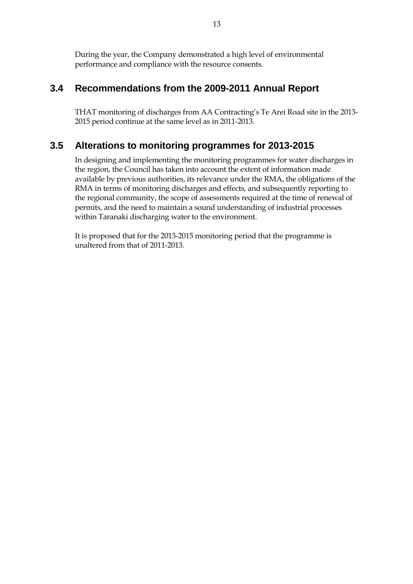During the year, the Company demonstrated a high level of environmental performance and compliance with the resource consents.

# **3.4 Recommendations from the 2009-2011 Annual Report**

THAT monitoring of discharges from AA Contracting's Te Arei Road site in the 2013- 2015 period continue at the same level as in 2011-2013.

# **3.5 Alterations to monitoring programmes for 2013-2015**

In designing and implementing the monitoring programmes for water discharges in the region, the Council has taken into account the extent of information made available by previous authorities, its relevance under the RMA, the obligations of the RMA in terms of monitoring discharges and effects, and subsequently reporting to the regional community, the scope of assessments required at the time of renewal of permits, and the need to maintain a sound understanding of industrial processes within Taranaki discharging water to the environment.

It is proposed that for the 2013-2015 monitoring period that the programme is unaltered from that of 2011-2013.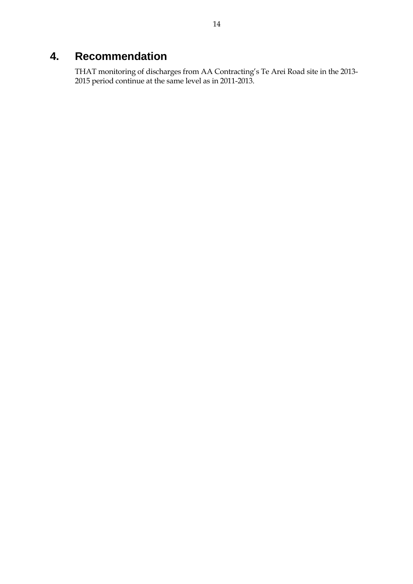# **4. Recommendation**

THAT monitoring of discharges from AA Contracting's Te Arei Road site in the 2013- 2015 period continue at the same level as in 2011-2013.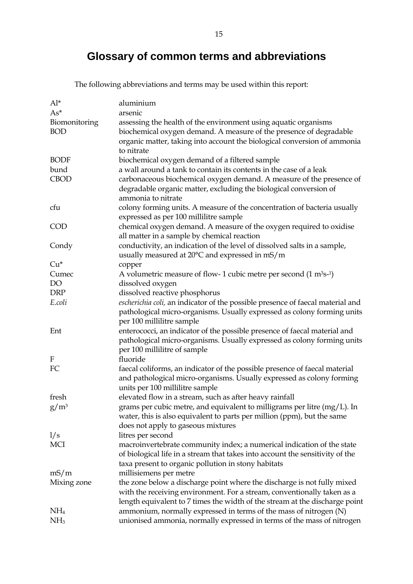# **Glossary of common terms and abbreviations**

The following abbreviations and terms may be used within this report:

| $Al^*$                    | aluminium                                                                                    |
|---------------------------|----------------------------------------------------------------------------------------------|
| $As^*$                    | arsenic                                                                                      |
| Biomonitoring             | assessing the health of the environment using aquatic organisms                              |
| <b>BOD</b>                | biochemical oxygen demand. A measure of the presence of degradable                           |
|                           | organic matter, taking into account the biological conversion of ammonia                     |
|                           | to nitrate                                                                                   |
| <b>BODF</b>               | biochemical oxygen demand of a filtered sample                                               |
| bund                      | a wall around a tank to contain its contents in the case of a leak                           |
| <b>CBOD</b>               | carbonaceous biochemical oxygen demand. A measure of the presence of                         |
|                           | degradable organic matter, excluding the biological conversion of                            |
|                           | ammonia to nitrate                                                                           |
| cfu                       | colony forming units. A measure of the concentration of bacteria usually                     |
|                           | expressed as per 100 millilitre sample                                                       |
| <b>COD</b>                | chemical oxygen demand. A measure of the oxygen required to oxidise                          |
|                           | all matter in a sample by chemical reaction                                                  |
| Condy                     | conductivity, an indication of the level of dissolved salts in a sample,                     |
|                           | usually measured at 20°C and expressed in mS/m                                               |
| $Cu*$                     |                                                                                              |
| Cumec                     | copper<br>A volumetric measure of flow-1 cubic metre per second $(1 \text{ m}^3 \text{s-1})$ |
| DO                        | dissolved oxygen                                                                             |
| <b>DRP</b>                | dissolved reactive phosphorus                                                                |
| E.coli                    |                                                                                              |
|                           | escherichia coli, an indicator of the possible presence of faecal material and               |
|                           | pathological micro-organisms. Usually expressed as colony forming units                      |
|                           | per 100 millilitre sample                                                                    |
| Ent                       | enterococci, an indicator of the possible presence of faecal material and                    |
|                           | pathological micro-organisms. Usually expressed as colony forming units                      |
|                           | per 100 millilitre of sample                                                                 |
| $\boldsymbol{\mathrm{F}}$ | fluoride                                                                                     |
| FC                        | faecal coliforms, an indicator of the possible presence of faecal material                   |
|                           | and pathological micro-organisms. Usually expressed as colony forming                        |
|                           | units per 100 millilitre sample                                                              |
| fresh                     | elevated flow in a stream, such as after heavy rainfall                                      |
| $g/m^3$                   | grams per cubic metre, and equivalent to milligrams per litre $(mg/L)$ . In                  |
|                           | water, this is also equivalent to parts per million (ppm), but the same                      |
|                           | does not apply to gaseous mixtures                                                           |
| 1/s                       | litres per second                                                                            |
| <b>MCI</b>                | macroinvertebrate community index; a numerical indication of the state                       |
|                           | of biological life in a stream that takes into account the sensitivity of the                |
|                           | taxa present to organic pollution in stony habitats                                          |
| mS/m                      | millisiemens per metre                                                                       |
| Mixing zone               | the zone below a discharge point where the discharge is not fully mixed                      |
|                           | with the receiving environment. For a stream, conventionally taken as a                      |
|                           | length equivalent to 7 times the width of the stream at the discharge point                  |
| NH <sub>4</sub>           | ammonium, normally expressed in terms of the mass of nitrogen (N)                            |
| NH <sub>3</sub>           | unionised ammonia, normally expressed in terms of the mass of nitrogen                       |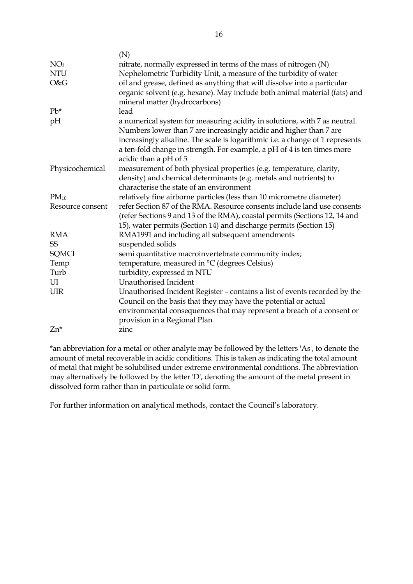|                  | (N)                                                                                                                                                                                                                                                                                                         |
|------------------|-------------------------------------------------------------------------------------------------------------------------------------------------------------------------------------------------------------------------------------------------------------------------------------------------------------|
| NO <sub>3</sub>  | nitrate, normally expressed in terms of the mass of nitrogen (N)                                                                                                                                                                                                                                            |
| <b>NTU</b>       | Nephelometric Turbidity Unit, a measure of the turbidity of water                                                                                                                                                                                                                                           |
| O&G              | oil and grease, defined as anything that will dissolve into a particular                                                                                                                                                                                                                                    |
|                  | organic solvent (e.g. hexane). May include both animal material (fats) and<br>mineral matter (hydrocarbons)                                                                                                                                                                                                 |
| $Pb^*$           | lead                                                                                                                                                                                                                                                                                                        |
| pH               | a numerical system for measuring acidity in solutions, with 7 as neutral.<br>Numbers lower than 7 are increasingly acidic and higher than 7 are<br>increasingly alkaline. The scale is logarithmic i.e. a change of 1 represents<br>a ten-fold change in strength. For example, a pH of 4 is ten times more |
|                  | acidic than a pH of 5                                                                                                                                                                                                                                                                                       |
| Physicochemical  | measurement of both physical properties (e.g. temperature, clarity,                                                                                                                                                                                                                                         |
|                  | density) and chemical determinants (e.g. metals and nutrients) to                                                                                                                                                                                                                                           |
|                  | characterise the state of an environment                                                                                                                                                                                                                                                                    |
| $PM_{10}$        | relatively fine airborne particles (less than 10 micrometre diameter)                                                                                                                                                                                                                                       |
| Resource consent | refer Section 87 of the RMA. Resource consents include land use consents<br>(refer Sections 9 and 13 of the RMA), coastal permits (Sections 12, 14 and<br>15), water permits (Section 14) and discharge permits (Section 15)                                                                                |
| <b>RMA</b>       | RMA1991 and including all subsequent amendments                                                                                                                                                                                                                                                             |
| <b>SS</b>        | suspended solids                                                                                                                                                                                                                                                                                            |
| <b>SQMCI</b>     | semi quantitative macroinvertebrate community index;                                                                                                                                                                                                                                                        |
| Temp             | temperature, measured in °C (degrees Celsius)                                                                                                                                                                                                                                                               |
| Turb             | turbidity, expressed in NTU                                                                                                                                                                                                                                                                                 |
| UI               | Unauthorised Incident                                                                                                                                                                                                                                                                                       |
| <b>UIR</b>       | Unauthorised Incident Register - contains a list of events recorded by the<br>Council on the basis that they may have the potential or actual<br>environmental consequences that may represent a breach of a consent or<br>provision in a Regional Plan                                                     |
| $Zn^*$           | zinc                                                                                                                                                                                                                                                                                                        |
|                  |                                                                                                                                                                                                                                                                                                             |

\*an abbreviation for a metal or other analyte may be followed by the letters 'As', to denote the amount of metal recoverable in acidic conditions. This is taken as indicating the total amount of metal that might be solubilised under extreme environmental conditions. The abbreviation may alternatively be followed by the letter 'D', denoting the amount of the metal present in dissolved form rather than in particulate or solid form.

For further information on analytical methods, contact the Council's laboratory.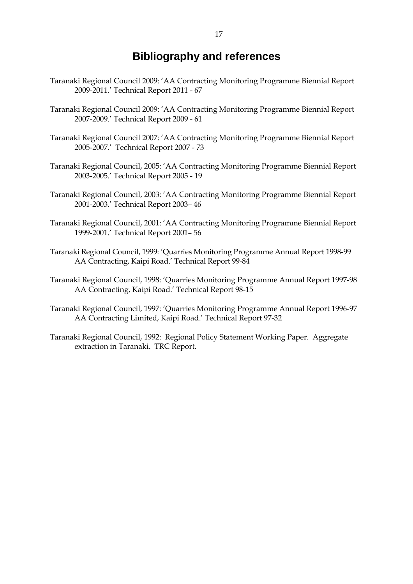# **Bibliography and references**

- Taranaki Regional Council 2009: 'AA Contracting Monitoring Programme Biennial Report 2009-2011.' Technical Report 2011 - 67
- Taranaki Regional Council 2009: 'AA Contracting Monitoring Programme Biennial Report 2007-2009.' Technical Report 2009 - 61
- Taranaki Regional Council 2007: 'AA Contracting Monitoring Programme Biennial Report 2005-2007.' Technical Report 2007 - 73
- Taranaki Regional Council, 2005: 'AA Contracting Monitoring Programme Biennial Report 2003-2005.' Technical Report 2005 - 19
- Taranaki Regional Council, 2003: 'AA Contracting Monitoring Programme Biennial Report 2001-2003.' Technical Report 2003– 46
- Taranaki Regional Council, 2001: 'AA Contracting Monitoring Programme Biennial Report 1999-2001.' Technical Report 2001– 56
- Taranaki Regional Council, 1999: 'Quarries Monitoring Programme Annual Report 1998-99 AA Contracting, Kaipi Road.' Technical Report 99-84
- Taranaki Regional Council, 1998: 'Quarries Monitoring Programme Annual Report 1997-98 AA Contracting, Kaipi Road.' Technical Report 98-15
- Taranaki Regional Council, 1997: 'Quarries Monitoring Programme Annual Report 1996-97 AA Contracting Limited, Kaipi Road.' Technical Report 97-32
- Taranaki Regional Council, 1992: Regional Policy Statement Working Paper. Aggregate extraction in Taranaki. TRC Report.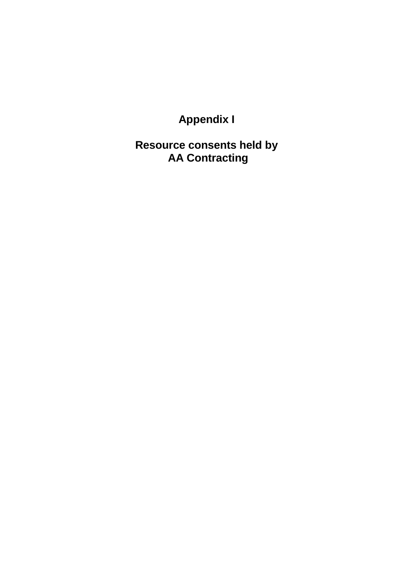**Appendix I** 

**Resource consents held by AA Contracting**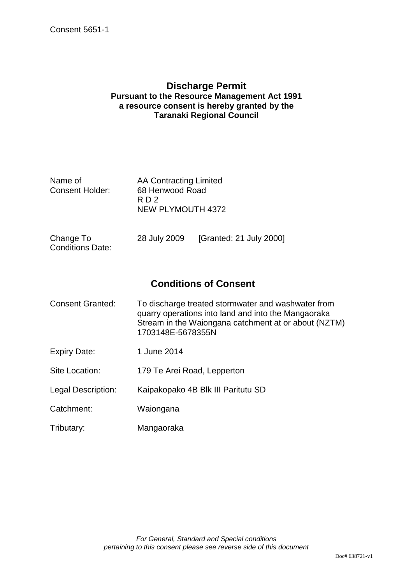### **Discharge Permit Pursuant to the Resource Management Act 1991 a resource consent is hereby granted by the Taranaki Regional Council**

| Name of         | AA Contracting Limited |
|-----------------|------------------------|
| Consent Holder: | 68 Henwood Road        |
|                 | RD <sub>2</sub>        |
|                 | NEW PLYMOUTH 4372      |
|                 |                        |

| Change To               | 28 July 2009 | [Granted: 21 July 2000] |
|-------------------------|--------------|-------------------------|
| <b>Conditions Date:</b> |              |                         |

# **Conditions of Consent**

| <b>Consent Granted:</b> | To discharge treated stormwater and washwater from<br>quarry operations into land and into the Mangaoraka<br>Stream in the Waiongana catchment at or about (NZTM)<br>1703148E-5678355N |
|-------------------------|----------------------------------------------------------------------------------------------------------------------------------------------------------------------------------------|
| <b>Expiry Date:</b>     | 1 June 2014                                                                                                                                                                            |
| Site Location:          | 179 Te Arei Road, Lepperton                                                                                                                                                            |
| Legal Description:      | Kaipakopako 4B Blk III Paritutu SD                                                                                                                                                     |

- Catchment: Waiongana
- Tributary: Mangaoraka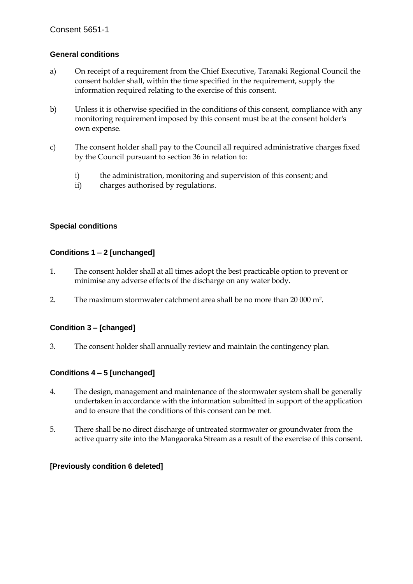### **General conditions**

- a) On receipt of a requirement from the Chief Executive, Taranaki Regional Council the consent holder shall, within the time specified in the requirement, supply the information required relating to the exercise of this consent.
- b) Unless it is otherwise specified in the conditions of this consent, compliance with any monitoring requirement imposed by this consent must be at the consent holder's own expense.
- c) The consent holder shall pay to the Council all required administrative charges fixed by the Council pursuant to section 36 in relation to:
	- i) the administration, monitoring and supervision of this consent; and
	- ii) charges authorised by regulations.

#### **Special conditions**

#### **Conditions 1 – 2 [unchanged]**

- 1. The consent holder shall at all times adopt the best practicable option to prevent or minimise any adverse effects of the discharge on any water body.
- 2. The maximum stormwater catchment area shall be no more than 20 000 m2.

### **Condition 3 – [changed]**

3. The consent holder shall annually review and maintain the contingency plan.

### **Conditions 4 – 5 [unchanged]**

- 4. The design, management and maintenance of the stormwater system shall be generally undertaken in accordance with the information submitted in support of the application and to ensure that the conditions of this consent can be met.
- 5. There shall be no direct discharge of untreated stormwater or groundwater from the active quarry site into the Mangaoraka Stream as a result of the exercise of this consent.

#### **[Previously condition 6 deleted]**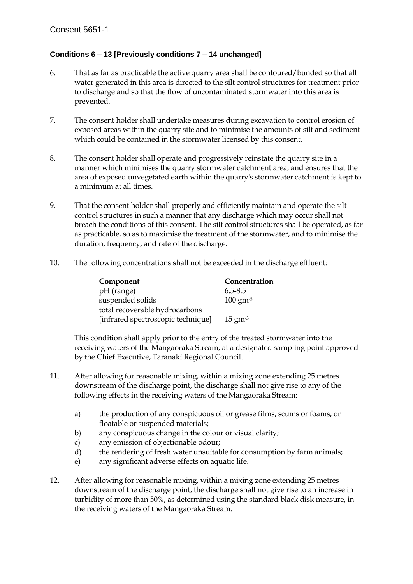### **Conditions 6 – 13 [Previously conditions 7 – 14 unchanged]**

- 6. That as far as practicable the active quarry area shall be contoured/bunded so that all water generated in this area is directed to the silt control structures for treatment prior to discharge and so that the flow of uncontaminated stormwater into this area is prevented.
- 7. The consent holder shall undertake measures during excavation to control erosion of exposed areas within the quarry site and to minimise the amounts of silt and sediment which could be contained in the stormwater licensed by this consent.
- 8. The consent holder shall operate and progressively reinstate the quarry site in a manner which minimises the quarry stormwater catchment area, and ensures that the area of exposed unvegetated earth within the quarry's stormwater catchment is kept to a minimum at all times.
- 9. That the consent holder shall properly and efficiently maintain and operate the silt control structures in such a manner that any discharge which may occur shall not breach the conditions of this consent. The silt control structures shall be operated, as far as practicable, so as to maximise the treatment of the stormwater, and to minimise the duration, frequency, and rate of the discharge.
- 10. The following concentrations shall not be exceeded in the discharge effluent:

| Component                          | Concentration                |
|------------------------------------|------------------------------|
| pH (range)                         | $6.5 - 8.5$                  |
| suspended solids                   | $100 \text{ gm}^{-3}$        |
| total recoverable hydrocarbons     |                              |
| [infrared spectroscopic technique] | $15 \text{ gm}$ <sup>3</sup> |

This condition shall apply prior to the entry of the treated stormwater into the receiving waters of the Mangaoraka Stream, at a designated sampling point approved by the Chief Executive, Taranaki Regional Council.

- 11. After allowing for reasonable mixing, within a mixing zone extending 25 metres downstream of the discharge point, the discharge shall not give rise to any of the following effects in the receiving waters of the Mangaoraka Stream:
	- a) the production of any conspicuous oil or grease films, scums or foams, or floatable or suspended materials;
	- b) any conspicuous change in the colour or visual clarity;
	- c) any emission of objectionable odour;
	- d) the rendering of fresh water unsuitable for consumption by farm animals;
	- e) any significant adverse effects on aquatic life.
- 12. After allowing for reasonable mixing, within a mixing zone extending 25 metres downstream of the discharge point, the discharge shall not give rise to an increase in turbidity of more than 50%, as determined using the standard black disk measure, in the receiving waters of the Mangaoraka Stream.